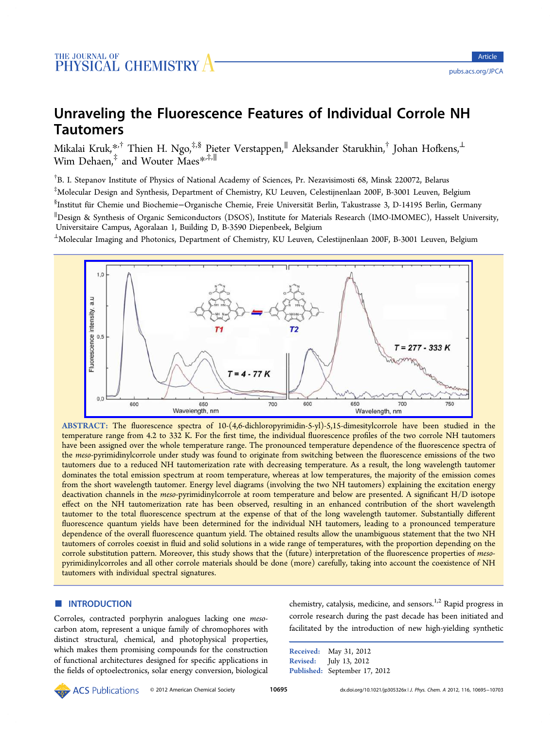# Unraveling the Fluorescence Features of Individual Corrole NH Tautomers

Mikalai Kruk, $^{*,\dagger}_\cdot$  Thien H. Ngo, $^{\ddagger,\S}$  Pieter Verstappen, $^{\parallel}$  Aleksander Starukhin, $^\dagger$  Johan Hofkens, $^{\perp}$ Wim Dehaen[,](#page-7-0)‡ and Wouter Maes\*,‡,<sup>∥</sup>

† B. I. Stepanov Institute of Physics of Nat[ion](#page-7-0)al Academy of Sciences, Pr. Nezavisimosti 68, Minsk 220072, Belarus ‡ Molecular Design and Synthesis, Department of Chemistry, KU Leuven, Celestijnenlaan 200F, B-3001 Leuven, Belgium <sup>§</sup>Institut für Chemie und Biochemie–Organische Chemie, Freie Universität Berlin, Takustrasse 3, D-14195 Berlin, Germany ∥ Design & Synthesis of Organic Semiconductors (DSOS), Institute for Materials Research (IMO-IMOMEC), Hasselt University, Universitaire Campus, Agoralaan 1, Building D, B-3590 Diepenbeek, Belgium

<sup>⊥</sup>Molecular Imaging and Photonics, Department of Chemistry, KU Leuven, Celestijnenlaan 200F, B-3001 Leuven, Belgium



ABSTRACT: The fl[uorescence spectra of 10-\(4,6-dichloropyrimidin-5-yl\)-5,15-dimesitylcorrole have been studied](http://pubs.acs.org/action/showImage?doi=10.1021/jp305326x&iName=master.img-000.jpg&w=430&h=171) in the temperature range from 4.2 to 332 K. For the first time, the individual fluorescence profiles of the two corrole NH tautomers have been assigned over the whole temperature range. The pronounced temperature dependence of the fluorescence spectra of the meso-pyrimidinylcorrole under study was found to originate from switching between the fluorescence emissions of the two tautomers due to a reduced NH tautomerization rate with decreasing temperature. As a result, the long wavelength tautomer dominates the total emission spectrum at room temperature, whereas at low temperatures, the majority of the emission comes from the short wavelength tautomer. Energy level diagrams (involving the two NH tautomers) explaining the excitation energy deactivation channels in the meso-pyrimidinylcorrole at room temperature and below are presented. A significant H/D isotope effect on the NH tautomerization rate has been observed, resulting in an enhanced contribution of the short wavelength tautomer to the total fluorescence spectrum at the expense of that of the long wavelength tautomer. Substantially different fluorescence quantum yields have been determined for the individual NH tautomers, leading to a pronounced temperature dependence of the overall fluorescence quantum yield. The obtained results allow the unambiguous statement that the two NH tautomers of corroles coexist in fluid and solid solutions in a wide range of temperatures, with the proportion depending on the corrole substitution pattern. Moreover, this study shows that the (future) interpretation of the fluorescence properties of mesopyrimidinylcorroles and all other corrole materials should be done (more) carefully, taking into account the coexistence of NH tautomers with individual spectral signatures.

## **ENTRODUCTION**

Corroles, contracted porphyrin analogues lacking one mesocarbon atom, represent a unique family of chromophores with distinct structural, chemical, and photophysical properties, which makes them promising compounds for the construction of functional architectures designed for specific applications in the fields of optoelectronics, solar energy conversion, biological chemistry, catalysis, medicine, and sensors.<sup>1,2</sup> Rapid progress in corrole research during the past decade has been initiated and facilitated by the introduction of new hi[gh-](#page-8-0)yielding synthetic

Received: May 31, 2012 Revised: July 13, 2012 Published: September 17, 2012

**ACS** Publications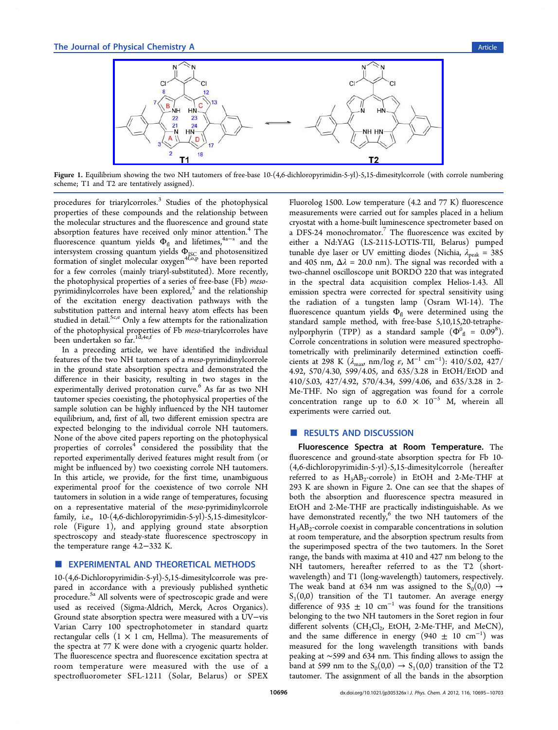<span id="page-1-0"></span>

Figure 1. Equilibri[um showing the two NH tautomers of free-base 10-\(4,6-dichloropyrimidin-5-yl\)-5,15-dimesitylcorrole \(with](http://pubs.acs.org/action/showImage?doi=10.1021/jp305326x&iName=master.img-001.jpg&w=365&h=113) corrole numbering scheme; T1 and T2 are tentatively assigned).

procedures for triarylcorroles.<sup>3</sup> Studies of the photophysical properties of these compounds and the relationship between the molecular structures and t[he](#page-8-0) fluorescence and ground state absorption features have received only minor attention.<sup>4</sup> The fluorescence quantum yields  $\Phi_{\text{fl}}$  and lifetimes,<sup>4a−s</sup> and the intersystem cros[si](#page-8-0)ng quantum yields  $\Phi_{\rm jsc}$  and photosensitized formation of singlet molecular oxygen<sup>4f,o,p</sup> have [been](#page-8-0) reported for a few corroles (mainly triaryl-substituted). More recently, the photophysical properties of a serie[s](#page-8-0) [of](#page-8-0) free-base (Fb) mesopyrimidinylcorroles have been explored, $5$  and the relationship of the excitation energy deactivation pathways with the substitution pattern and internal heavy [a](#page-8-0)tom effects has been studied in detail.<sup>5c,e</sup> Only a few attempts for the rationalization of the photophysical properties of Fb meso-triarylcorroles have been undertake[n so](#page-8-0) far.1d,4e,f

In a preceding article, we have identified the individual features of the two NH [tauto](#page-8-0)mers of a meso-pyrimidinylcorrole in the ground state absorption spectra and demonstrated the difference in their basicity, resulting in two stages in the experimentally derived protonation curve.<sup>6</sup> As far as two NH tautomer species coexisting, the photophysical properties of the sample solution can be highly influenced [by](#page-8-0) the NH tautomer equilibrium, and, first of all, two different emission spectra are expected belonging to the individual corrole NH tautomers. None of the above cited papers reporting on the photophysical properties of  $corroles<sup>4</sup>$  considered the possibility that the reported experimentally derived features might result from (or might be influenced by[\)](#page-8-0) two coexisting corrole NH tautomers. In this article, we provide, for the first time, unambiguous experimental proof for the coexistence of two corrole NH tautomers in solution in a wide range of temperatures, focusing on a representative material of the meso-pyrimidinylcorrole family, i.e., 10-(4,6-dichloropyrimidin-5-yl)-5,15-dimesitylcorrole (Figure 1), and applying ground state absorption spectroscopy and steady-state fluorescence spectroscopy in the temperature range 4.2−332 K.

## **EXPERIMENTAL AND THEORETICAL METHODS**

10-(4,6-Dichloropyrimidin-5-yl)-5,15-dimesitylcorrole was prepared in accordance with a previously published synthetic procedure.<sup>5a</sup> All solvents were of spectroscopic grade and were used as received (Sigma-Aldrich, Merck, Acros Organics). Ground st[ate](#page-8-0) absorption spectra were measured with a UV−vis Varian Carry 100 spectrophotometer in standard quartz rectangular cells  $(1 \times 1$  cm, Hellma). The measurements of the spectra at 77 K were done with a cryogenic quartz holder. The fluorescence spectra and fluorescence excitation spectra at room temperature were measured with the use of a spectrofluorometer SFL-1211 (Solar, Belarus) or SPEX

Fluorolog 1500. Low temperature (4.2 and 77 K) fluorescence measurements were carried out for samples placed in a helium cryostat with a home-built luminescence spectrometer based on a DFS-24 monochromator. $\sqrt{T}$  The fluorescence was excited by either a Nd:YAG (LS-2115-LOTIS-TII, Belarus) pumped tunable dye laser or UV e[m](#page-8-0)itting diodes (Nichia,  $\lambda_{\text{peak}} = 385$ and 405 nm,  $\Delta \lambda$  = 20.0 nm). The signal was recorded with a two-channel oscilloscope unit BORDO 220 that was integrated in the spectral data acquisition complex Helios-1.43. All emission spectra were corrected for spectral sensitivity using the radiation of a tungsten lamp (Osram WI-14). The fluorescence quantum yields  $\Phi_{\text{fl}}$  were determined using the standard sample method, with free-base 5,10,15,20-tetraphenylporphyrin (TPP) as a standard sample  $(\Phi_{\ fl}^{0}=0.09^{8}).$ Corrole concentrations in solution were measured spectrophotometrically with preliminarily determined extinction coe[ffi](#page-8-0)cients at 298 K ( $\lambda_{\text{max}}$  nm/log  $\varepsilon$ , M<sup>-1</sup> cm<sup>-1</sup>): 410/5.02, 427/ 4.92, 570/4.30, 599/4.05, and 635/3.28 in EtOH/EtOD and 410/5.03, 427/4.92, 570/4.34, 599/4.06, and 635/3.28 in 2- Me-THF. No sign of aggregation was found for a corrole concentration range up to 6.0  $\times$  10<sup>-5</sup> M, wherein all experiments were carried out.

## ■ RESULTS AND DISCUSSION

Fluorescence Spectra at Room Temperature. The fluorescence and ground-state absorption spectra for Fb 10- (4,6-dichloropyrimidin-5-yl)-5,15-dimesitylcorrole (hereafter referred to as  $H_3AB_2$ -corrole) in EtOH and 2-Me-THF at 293 K are shown in Figure 2. One can see that the shapes of both the absorption and fluorescence spectra measured in EtOH and 2-Me-THF are [pr](#page-2-0)actically indistinguishable. As we have demonstrated recently, $6$  the two NH tautomers of the  $H_3AB_2$ -corrole coexist in comparable concentrations in solution at room temperature, and th[e](#page-8-0) absorption spectrum results from the superimposed spectra of the two tautomers. In the Soret range, the bands with maxima at 410 and 427 nm belong to the NH tautomers, hereafter referred to as the T2 (shortwavelength) and T1 (long-wavelength) tautomers, respectively. The weak band at 634 nm was assigned to the  $S_0(0,0) \rightarrow$  $S_1(0,0)$  transition of the T1 tautomer. An average energy difference of 935  $\pm$  10 cm<sup>-1</sup> was found for the transitions belonging to the two NH tautomers in the Soret region in four different solvents (CH<sub>2</sub>Cl<sub>2</sub>, EtOH, 2-Me-THF, and MeCN), and the same difference in energy (940  $\pm$  10 cm<sup>-1</sup>) was measured for the long wavelength transitions with bands peaking at ∼599 and 634 nm. This finding allows to assign the band at 599 nm to the  $S_0(0,0) \rightarrow S_1(0,0)$  transition of the T2 tautomer. The assignment of all the bands in the absorption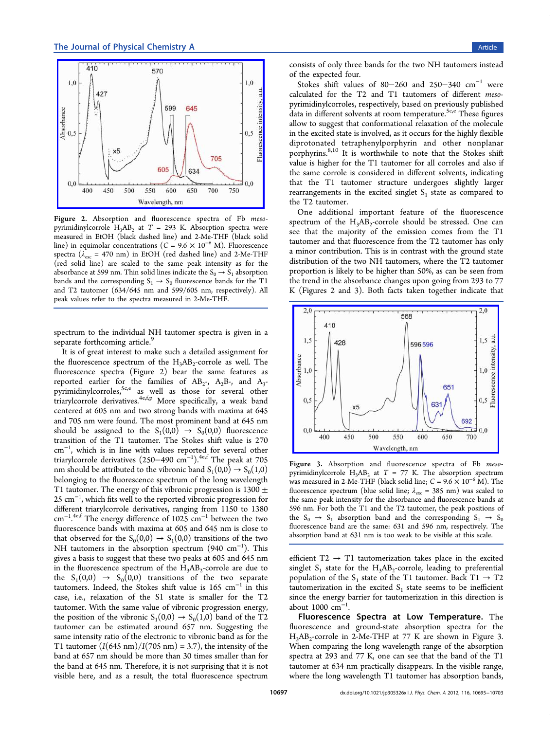<span id="page-2-0"></span>

Figure 2. Absorption and fl[uorescence spectra of Fb](http://pubs.acs.org/action/showImage?doi=10.1021/jp305326x&iName=master.img-002.jpg&w=227&h=162) mesopyrimidinylcorrole  $H_3AB_2$  at  $T = 293$  K. Absorption spectra were measured in EtOH (black dashed line) and 2-Me-THF (black solid line) in equimolar concentrations ( $C = 9.6 \times 10^{-6}$  M). Fluorescence spectra ( $\lambda_{\text{exc}}$  = 470 nm) in EtOH (red dashed line) and 2-Me-THF (red solid line) are scaled to the same peak intensity as for the absorbance at 599 nm. Thin solid lines indicate the  $S_0 \rightarrow S_1$  absorption bands and the corresponding  $S_1 \rightarrow S_0$  fluorescence bands for the T1 and T2 tautomer (634/645 nm and 599/605 nm, respectively). All peak values refer to the spectra measured in 2-Me-THF.

spectrum to the individual NH tautomer spectra is given in a separate forthcoming article.<sup>9</sup>

It is of great interest to make such a detailed assignment for the fluorescence spectrum [of](#page-8-0) the  $H_3AB_2$ -corrole as well. The fluorescence spectra (Figure 2) bear the same features as reported earlier for the families of  $AB_2$ -,  $A_2B$ -, and  $A_3$ pyrimidinylcorroles,<sup>5c,e</sup> as well as those for several other triarylcorrole derivatives.<sup>4e,f,p</sup> More specifically, a weak band centered at 605 nm [an](#page-8-0)d two strong bands with maxima at 645 and 705 nm were found. [The](#page-8-0) most prominent band at 645 nm should be assigned to the  $S_1(0,0) \rightarrow S_0(0,0)$  fluorescence transition of the T1 tautomer. The Stokes shift value is 270 cm<sup>−</sup><sup>1</sup> , which is in line with values reported for several other triarylcorrole derivatives (250–490 cm<sup>-1</sup>).<sup>4e,f</sup> The peak at 705 nm should be attributed to the vibronic band  $S_1(0,0) \rightarrow S_0(1,0)$ belonging to the fluorescence spectrum of [the](#page-8-0) long wavelength T1 tautomer. The energy of this vibronic progression is  $1300 \pm$ 25 cm<sup>-1</sup>, which fits well to the reported vibronic progression for different triarylcorrole derivatives, ranging from 1150 to 1380 cm<sup>−</sup><sup>1</sup> 4e,f The energy difference of 1025 cm<sup>−</sup><sup>1</sup> between the two . fluorescence bands with maxima at 605 and 645 nm is close to that [obse](#page-8-0)rved for the  $S_0(0,0) \rightarrow S_1(0,0)$  transitions of the two NH tautomers in the absorption spectrum (940 cm<sup>−</sup><sup>1</sup> ). This gives a basis to suggest that these two peaks at 605 and 645 nm in the fluorescence spectrum of the  $H_3AB_2$ -corrole are due to the  $S_1(0,0) \rightarrow S_0(0,0)$  transitions of the two separate tautomers. Indeed, the Stokes shift value is 165 cm<sup>−</sup><sup>1</sup> in this case, i.e., relaxation of the S1 state is smaller for the T2 tautomer. With the same value of vibronic progression energy, the position of the vibronic  $S_1(0,0) \rightarrow S_0(1,0)$  band of the T2 tautomer can be estimated around 657 nm. Suggesting the same intensity ratio of the electronic to vibronic band as for the T1 tautomer  $(I(645 \text{ nm})/I(705 \text{ nm}) = 3.7)$ , the intensity of the band at 657 nm should be more than 30 times smaller than for the band at 645 nm. Therefore, it is not surprising that it is not visible here, and as a result, the total fluorescence spectrum

consists of only three bands for the two NH tautomers instead of the expected four.

Stokes shift values of 80−260 and 250−340  $cm^{-1}$  were calculated for the T2 and T1 tautomers of different mesopyrimidinylcorroles, respectively, based on previously published data in different solvents at room temperature.<sup>5c,e</sup> These figures allow to suggest that conformational relaxation of the molecule in the excited state is involved, as it occurs for [the](#page-8-0) highly flexible diprotonated tetraphenylporphyrin and other nonplanar porphyrins.<sup>8,10</sup> It is worthwhile to note that the Stokes shift value is higher for the T1 tautomer for all corroles and also if the same c[orro](#page-8-0)le is considered in different solvents, indicating that the T1 tautomer structure undergoes slightly larger rearrangements in the excited singlet  $S<sub>1</sub>$  state as compared to the T2 tautomer.

One additional important feature of the fluorescence spectrum of the  $H_3AB_2$ -corrole should be stressed. One can see that the majority of the emission comes from the T1 tautomer and that fluorescence from the T2 tautomer has only a minor contribution. This is in contrast with the ground state distribution of the two NH tautomers, where the T2 tautomer proportion is likely to be higher than 50%, as can be seen from the trend in the absorbance changes upon going from 293 to 77 K (Figures 2 and 3). Both facts taken together indicate that



Figure 3. Absorption and fl[uorescence spectra of Fb](http://pubs.acs.org/action/showImage?doi=10.1021/jp305326x&iName=master.img-003.jpg&w=226&h=161) mesopyrimidinylcorrole  $H_3AB_2$  at  $T = 77$  K. The absorption spectrum was measured in 2-Me-THF (black solid line;  $C = 9.6 \times 10^{-6}$  M). The fluorescence spectrum (blue solid line;  $\lambda_{\text{exc}} = 385 \text{ nm}$ ) was scaled to the same peak intensity for the absorbance and fluorescence bands at 596 nm. For both the T1 and the T2 tautomer, the peak positions of the  $S_0 \rightarrow S_1$  absorption band and the corresponding  $S_1 \rightarrow S_0$ fluorescence band are the same: 631 and 596 nm, respectively. The absorption band at 631 nm is too weak to be visible at this scale.

efficient  $T2 \rightarrow T1$  tautomerization takes place in the excited singlet  $S_1$  state for the  $H_3AB_2$ -corrole, leading to preferential population of the S<sub>1</sub> state of the T1 tautomer. Back T1  $\rightarrow$  T2 tautomerization in the excited  $S_1$  state seems to be inefficient since the energy barrier for tautomerization in this direction is about 1000 cm<sup>−</sup><sup>1</sup> .

Fluorescence Spectra at Low Temperature. The fluorescence and ground-state absorption spectra for the H<sub>3</sub>AB<sub>2</sub>-corrole in 2-Me-THF at 77 K are shown in Figure 3. When comparing the long wavelength range of the absorption spectra at 293 and 77 K, one can see that the band of the T1 tautomer at 634 nm practically disappears. In the visible range, where the long wavelength T1 tautomer has absorption bands,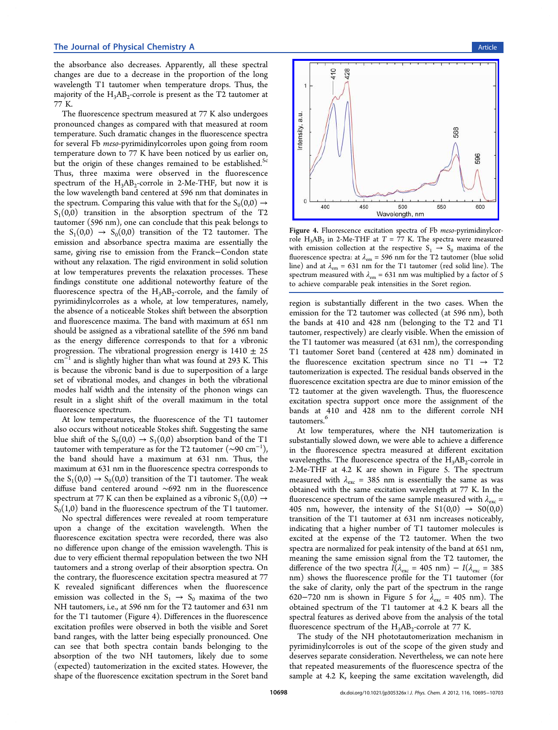the absorbance also decreases. Apparently, all these spectral changes are due to a decrease in the proportion of the long wavelength T1 tautomer when temperature drops. Thus, the majority of the  $H_3AB_2$ -corrole is present as the T2 tautomer at 77 K.

The fluorescence spectrum measured at 77 K also undergoes pronounced changes as compared with that measured at room temperature. Such dramatic changes in the fluorescence spectra for several Fb meso-pyrimidinylcorroles upon going from room temperature down to 77 K have been noticed by us earlier on, but the origin of these changes remained to be established.<sup>5c</sup> Thus, three maxima were observed in the fluorescence spectrum of the  $H_3AB_2$ -corrole in 2-Me-THF, but now it [is](#page-8-0) the low wavelength band centered at 596 nm that dominates in the spectrum. Comparing this value with that for the  $S_0(0,0) \rightarrow$  $S_1(0,0)$  transition in the absorption spectrum of the T2 tautomer (596 nm), one can conclude that this peak belongs to the  $S_1(0,0) \rightarrow S_0(0,0)$  transition of the T2 tautomer. The emission and absorbance spectra maxima are essentially the same, giving rise to emission from the Franck−Condon state without any relaxation. The rigid environment in solid solution at low temperatures prevents the relaxation processes. These findings constitute one additional noteworthy feature of the fluorescence spectra of the  $H_3AB_2$ -corrole, and the family of pyrimidinylcorroles as a whole, at low temperatures, namely, the absence of a noticeable Stokes shift between the absorption and fluorescence maxima. The band with maximum at 651 nm should be assigned as a vibrational satellite of the 596 nm band as the energy difference corresponds to that for a vibronic progression. The vibrational progression energy is  $1410 \pm 25$ cm<sup>−</sup><sup>1</sup> and is slightly higher than what was found at 293 K. This is because the vibronic band is due to superposition of a large set of vibrational modes, and changes in both the vibrational modes half width and the intensity of the phonon wings can result in a slight shift of the overall maximum in the total fluorescence spectrum.

At low temperatures, the fluorescence of the T1 tautomer also occurs without noticeable Stokes shift. Suggesting the same blue shift of the  $S_0(0,0) \rightarrow S_1(0,0)$  absorption band of the T1 tautomer with temperature as for the T2 tautomer ( $\sim$ 90 cm $^{-1}$ ), the band should have a maximum at 631 nm. Thus, the maximum at 631 nm in the fluorescence spectra corresponds to the  $S_1(0,0) \rightarrow S_0(0,0)$  transition of the T1 tautomer. The weak diffuse band centered around ∼692 nm in the fluorescence spectrum at 77 K can then be explained as a vibronic  $S_1(0,0) \rightarrow$  $S_0(1,0)$  band in the fluorescence spectrum of the T1 tautomer.

No spectral differences were revealed at room temperature upon a change of the excitation wavelength. When the fluorescence excitation spectra were recorded, there was also no difference upon change of the emission wavelength. This is due to very efficient thermal repopulation between the two NH tautomers and a strong overlap of their absorption spectra. On the contrary, the fluorescence excitation spectra measured at 77 K revealed significant differences when the fluorescence emission was collected in the  $S_1 \rightarrow S_0$  maxima of the two NH tautomers, i.e., at 596 nm for the T2 tautomer and 631 nm for the T1 tautomer (Figure 4). Differences in the fluorescence excitation profiles were observed in both the visible and Soret band ranges, with the latter being especially pronounced. One can see that both spectra contain bands belonging to the absorption of the two NH tautomers, likely due to some (expected) tautomerization in the excited states. However, the shape of the fluorescence excitation spectrum in the Soret band



Figure 4. [Fluorescence excitation spectra of Fb](http://pubs.acs.org/action/showImage?doi=10.1021/jp305326x&iName=master.img-004.jpg&w=226&h=175) meso-pyrimidinylcorrole  $H_3AB_2$  in 2-Me-THF at  $T = 77$  K. The spectra were measured with emission collection at the respective  $S_1 \rightarrow S_0$  maxima of the fluorescence spectra: at  $\lambda_{em}$  = 596 nm for the T2 tautomer (blue solid line) and at  $\lambda_{em} = 631$  nm for the T1 tautomer (red solid line). The spectrum measured with  $\lambda_{em} = 631$  nm was multiplied by a factor of 5 to achieve comparable peak intensities in the Soret region.

region is substantially different in the two cases. When the emission for the T2 tautomer was collected (at 596 nm), both the bands at 410 and 428 nm (belonging to the T2 and T1 tautomer, respectively) are clearly visible. When the emission of the T1 tautomer was measured (at 631 nm), the corresponding T1 tautomer Soret band (centered at 428 nm) dominated in the fluorescence excitation spectrum since no T1  $\rightarrow$  T2 tautomerization is expected. The residual bands observed in the fluorescence excitation spectra are due to minor emission of the T2 tautomer at the given wavelength. Thus, the fluorescence excitation spectra support once more the assignment of the bands at 410 and 428 nm to the different corrole NH tautomers.<sup>6</sup>

At low temperatures, where the NH tautomerization is substantia[lly](#page-8-0) slowed down, we were able to achieve a difference in the fluorescence spectra measured at different excitation wavelengths. The fluorescence spectra of the  $H_3AB_2$ -corrole in 2-Me-THF at 4.2 K are shown in Figure 5. The spectrum measured with  $\lambda_{\text{exc}} = 385 \text{ nm}$  is essentially the same as was obtained with the same excitation wavelengt[h](#page-4-0) at 77 K. In the fluorescence spectrum of the same sample measured with  $\lambda_{\text{exc}} =$ 405 nm, however, the intensity of the  $S1(0,0) \rightarrow S0(0,0)$ transition of the T1 tautomer at 631 nm increases noticeably, indicating that a higher number of T1 tautomer molecules is excited at the expense of the T2 tautomer. When the two spectra are normalized for peak intensity of the band at 651 nm, meaning the same emission signal from the T2 tautomer, the difference of the two spectra  $I(\lambda_{\text{exc}} = 405 \text{ nm}) - I(\lambda_{\text{exc}} = 385 \text{ nm})$ nm) shows the fluorescence profile for the T1 tautomer (for the sake of clarity, only the part of the spectrum in the range 620−720 nm is shown in Figure 5 for  $\lambda_{\text{exc}}$  = 405 nm). The obtained spectrum of the T1 tautomer at 4.2 K bears all the spectral features as derived above f[ro](#page-4-0)m the analysis of the total fluorescence spectrum of the  $H_3AB_2$ -corrole at 77 K.

The study of the NH phototautomerization mechanism in pyrimidinylcorroles is out of the scope of the given study and deserves separate consideration. Nevertheless, we can note here that repeated measurements of the fluorescence spectra of the sample at 4.2 K, keeping the same excitation wavelength, did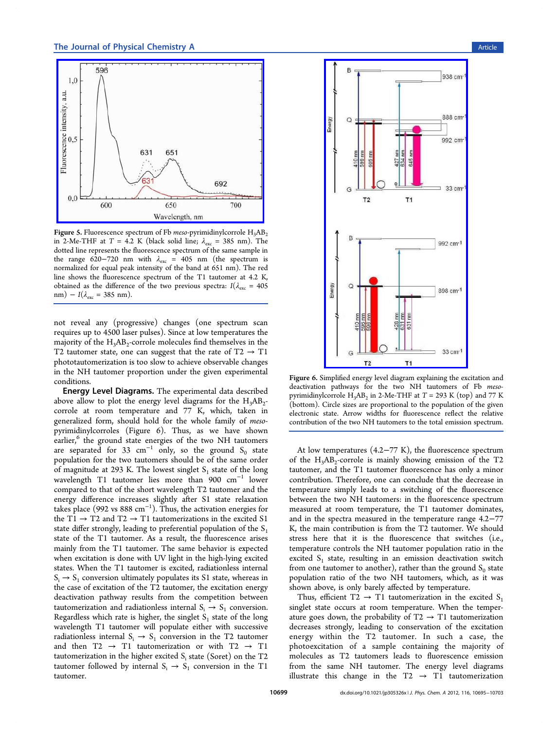<span id="page-4-0"></span>

Figure 5. [Fluorescence spectrum of Fb](http://pubs.acs.org/action/showImage?doi=10.1021/jp305326x&iName=master.img-005.jpg&w=227&h=178) *meso*-pyrimidinylcorrole  $H_3AB_2$ in 2-Me-THF at T = 4.2 K (black solid line;  $\lambda_{\text{exc}}$  = 385 nm). The dotted line represents the fluorescence spectrum of the same sample in the range 620−720 nm with  $\lambda_{\text{exc}}$  = 405 nm (the spectrum is normalized for equal peak intensity of the band at 651 nm). The red line shows the fluorescence spectrum of the T1 tautomer at 4.2 K, obtained as the difference of the two previous spectra:  $I(\lambda_{\rm exc} = 405$ nm) –  $I(\lambda_{\text{exc}} = 385 \text{ nm}).$ 

not reveal any (progressive) changes (one spectrum scan requires up to 4500 laser pulses). Since at low temperatures the majority of the  $H_3AB_2$ -corrole molecules find themselves in the T2 tautomer state, one can suggest that the rate of  $T2 \rightarrow T1$ phototautomerization is too slow to achieve observable changes in the NH tautomer proportion under the given experimental conditions.

Energy Level Diagrams. The experimental data described above allow to plot the energy level diagrams for the  $H_3AB_2$ corrole at room temperature and 77 K, which, taken in generalized form, should hold for the whole family of mesopyrimidinylcorroles (Figure 6). Thus, as we have shown earlier,<sup>6</sup> the ground state energies of the two NH tautomers are separated for 33  $cm^{-1}$  only, so the ground S<sub>0</sub> state popul[at](#page-8-0)ion for the two tautomers should be of the same order of magnitude at 293 K. The lowest singlet  $S_1$  state of the long wavelength T1 tautomer lies more than 900  $cm^{-1}$  lower compared to that of the short wavelength T2 tautomer and the energy difference increases slightly after S1 state relaxation takes place (992 vs 888 cm<sup>−</sup><sup>1</sup> ). Thus, the activation energies for the T1  $\rightarrow$  T2 and T2  $\rightarrow$  T1 tautomerizations in the excited S1 state differ strongly, leading to preferential population of the  $S_1$ state of the T1 tautomer. As a result, the fluorescence arises mainly from the T1 tautomer. The same behavior is expected when excitation is done with UV light in the high-lying excited states. When the T1 tautomer is excited, radiationless internal  $S_i \rightarrow S_1$  conversion ultimately populates its S1 state, whereas in the case of excitation of the T2 tautomer, the excitation energy deactivation pathway results from the competition between tautomerization and radiationless internal  $S_i \rightarrow S_1$  conversion. Regardless which rate is higher, the singlet  $S_1$  state of the long wavelength T1 tautomer will populate either with successive radiationless internal  $S_i \rightarrow S_1$  conversion in the T2 tautomer and then T2  $\rightarrow$  T1 tautomerization or with T2  $\rightarrow$  T1 tautomerization in the higher excited  $S_i$  state (Soret) on the T2 tautomer followed by internal  $S_i \rightarrow S_1$  conversion in the T1 tautomer.



Figure 6. Simplifi[ed energy level diagram explaining the ex](http://pubs.acs.org/action/showImage?doi=10.1021/jp305326x&iName=master.img-006.jpg&w=155&h=341)citation and deactivation pathways for the two NH tautomers of Fb mesopyrimidinylcorrole  $H_3AB_2$  in 2-Me-THF at  $T = 293$  K (top) and 77 K (bottom). Circle sizes are proportional to the population of the given electronic state. Arrow widths for fluorescence reflect the relative contribution of the two NH tautomers to the total emission spectrum.

At low temperatures (4.2−77 K), the fluorescence spectrum of the  $H_3AB_2$ -corrole is mainly showing emission of the T2 tautomer, and the T1 tautomer fluorescence has only a minor contribution. Therefore, one can conclude that the decrease in temperature simply leads to a switching of the fluorescence between the two NH tautomers: in the fluorescence spectrum measured at room temperature, the T1 tautomer dominates, and in the spectra measured in the temperature range 4.2−77 K, the main contribution is from the T2 tautomer. We should stress here that it is the fluorescence that switches (i.e., temperature controls the NH tautomer population ratio in the excited  $S_1$  state, resulting in an emission deactivation switch from one tautomer to another), rather than the ground  $S_0$  state population ratio of the two NH tautomers, which, as it was shown above, is only barely affected by temperature.

Thus, efficient T2  $\rightarrow$  T1 tautomerization in the excited S<sub>1</sub> singlet state occurs at room temperature. When the temperature goes down, the probability of  $T2 \rightarrow T1$  tautomerization decreases strongly, leading to conservation of the excitation energy within the T2 tautomer. In such a case, the photoexcitation of a sample containing the majority of molecules as T2 tautomers leads to fluorescence emission from the same NH tautomer. The energy level diagrams illustrate this change in the T2  $\rightarrow$  T1 tautomerization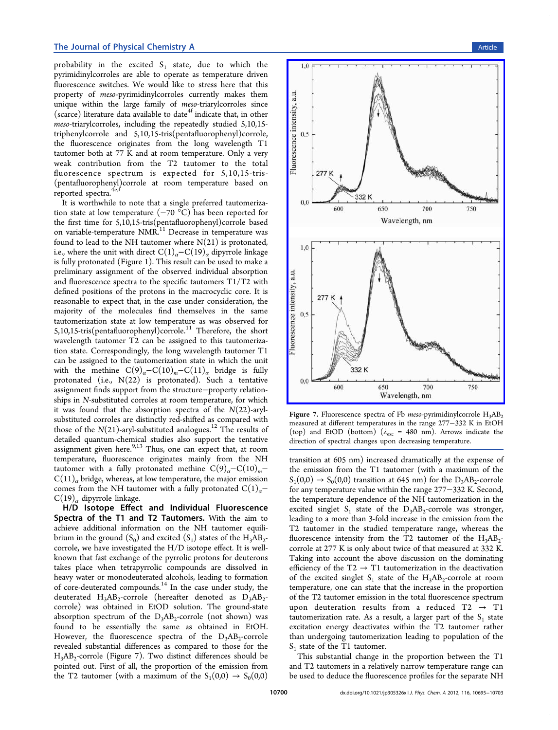<span id="page-5-0"></span>probability in the excited  $S_1$  state, due to which the pyrimidinylcorroles are able to operate as temperature driven fluorescence switches. We would like to stress here that this property of meso-pyrimidinylcorroles currently makes them unique within the large family of meso-triarylcorroles since (scarce) literature data available to date<sup>4t</sup> indicate that, in other meso-triarylcorroles, including the repeatedly studied 5,10,15 triphenylcorrole and 5,10,15-tris(pe[nta](#page-8-0)fluorophenyl)corrole, the fluorescence originates from the long wavelength T1 tautomer both at 77 K and at room temperature. Only a very weak contribution from the T2 tautomer to the total fluorescence spectrum is expected for 5,10,15-tris- (pentafluorophenyl)corrole at room temperature based on reported spectra.<sup>4e</sup>

It is worthwhile to note that a single preferred tautomerization state at low [tem](#page-8-0)perature (−70 °C) has been reported for the first time for 5,10,15-tris(pentafluorophenyl)corrole based on variable-temperature NMR.<sup>11</sup> Decrease in temperature was found to lead to the NH tautomer where  $N(21)$  is protonated, i.e., where the unit with direct  $C(1)<sub>a</sub>$  $C(1)<sub>a</sub>$ – $C(19)<sub>a</sub>$  dipyrrole linkage is fully protonated (Figure 1). This result can be used to make a preliminary assignment of the observed individual absorption and fluorescence spectra t[o](#page-1-0) the specific tautomers T1/T2 with defined positions of the protons in the macrocyclic core. It is reasonable to expect that, in the case under consideration, the majority of the molecules find themselves in the same tautomerization state at low temperature as was observed for 5,10,15-tris(pentafluorophenyl)corrole.<sup>11</sup> Therefore, the short wavelength tautomer T2 can be assigned to this tautomerization state. Correspondingly, the long [wa](#page-8-0)velength tautomer T1 can be assigned to the tautomerization state in which the unit with the methine  $C(9)_\alpha - C(10)_m - C(11)_\alpha$  bridge is fully protonated (i.e.,  $N(22)$  is protonated). Such a tentative assignment finds support from the structure−property relationships in N-substituted corroles at room temperature, for which it was found that the absorption spectra of the  $N(22)$ -arylsubstituted corroles are distinctly red-shifted as compared with those of the  $N(21)$ -aryl-substituted analogues.<sup>12</sup> The results of detailed quantum-chemical studies also support the tentative assignment given here. $9,13$  Thus, one can exp[ect](#page-8-0) that, at room temperature, fluorescence originates mainly from the NH tautomer with a fully [pr](#page-8-0)otonated methine  $C(9)_a-C(10)_m C(11)<sub>a</sub>$  bridge, whereas, at low temperature, the major emission comes from the NH tautomer with a fully protonated  $C(1)<sub>a</sub>$ −  $C(19)<sub>a</sub>$  dipyrrole linkage.

H/D Isotope Effect and Individual Fluorescence Spectra of the T1 and T2 Tautomers. With the aim to achieve additional information on the NH tautomer equilibrium in the ground  $(S_0)$  and excited  $(S_1)$  states of the  $H_3AB_2$ corrole, we have investigated the H/D isotope effect. It is wellknown that fast exchange of the pyrrolic protons for deuterons takes place when tetrapyrrolic compounds are dissolved in heavy water or monodeuterated alcohols, leading to formation of core-deuterated compounds.<sup>14</sup> In the case under study, the deuterated  $H_3AB_2$ -corrole (hereafter denoted as  $D_3AB_2$ corrole) was obtained in Et[OD](#page-8-0) solution. The ground-state absorption spectrum of the  $D_3AB_2$ -corrole (not shown) was found to be essentially the same as obtained in EtOH. However, the fluorescence spectra of the  $D_3AB_2$ -corrole revealed substantial differences as compared to those for the  $H_3AB_2$ -corrole (Figure 7). Two distinct differences should be pointed out. First of all, the proportion of the emission from the T2 tautomer (with a maximum of the  $S_1(0,0) \rightarrow S_0(0,0)$ 



Figure 7. Fluorescence spectra of Fb meso-pyrimidinylcorrole  $H_3AB_2$ measured at different temperatures in the range 277−332 K in EtOH (top) and EtOD (bottom) ( $\lambda_{\text{exc}}$  = 480 nm). Arrows indicate the direction of spectral changes upon decreasing temperature.

transition at 605 nm) increased dramatically at the expense of the emission from the T1 tautomer (with a maximum of the  $S_1(0,0) \rightarrow S_0(0,0)$  transition at 645 nm) for the D<sub>3</sub>AB<sub>2</sub>-corrole for any temperature value within the range 277−332 K. Second, the temperature dependence of the NH tautomerization in the excited singlet  $S_1$  state of the  $D_3AB_2$ -corrole was stronger, leading to a more than 3-fold increase in the emission from the T2 tautomer in the studied temperature range, whereas the fluorescence intensity from the T2 tautomer of the  $H_3AB_2$ corrole at 277 K is only about twice of that measured at 332 K. Taking into account the above discussion on the dominating efficiency of the T2  $\rightarrow$  T1 tautomerization in the deactivation of the excited singlet  $S_1$  state of the  $H_3AB_2$ -corrole at room temperature, one can state that the increase in the proportion of the T2 tautomer emission in the total fluorescence spectrum upon deuteration results from a reduced T2  $\rightarrow$  T1 tautomerization rate. As a result, a larger part of the  $S_1$  state excitation energy deactivates within the T2 tautomer rather than undergoing tautomerization leading to population of the  $S_1$  state of the T1 tautomer.

This substantial change in the proportion between the T1 and T2 tautomers in a relatively narrow temperature range can be used to deduce the fluorescence profiles for the separate NH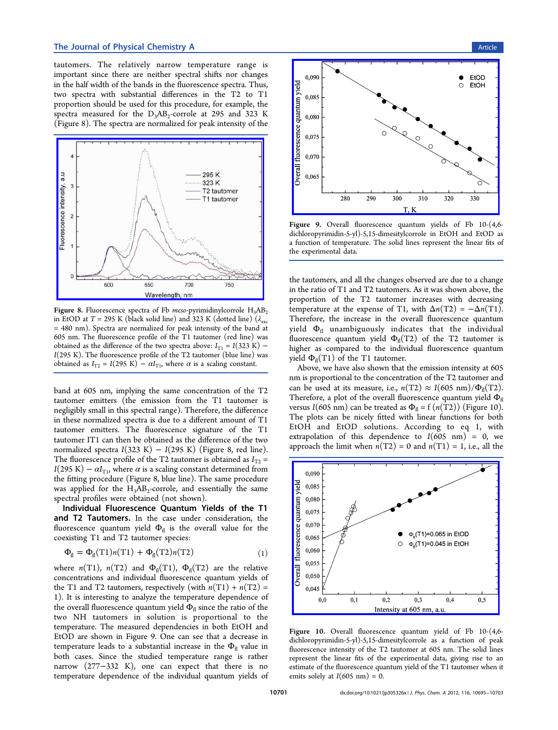<span id="page-6-0"></span>tautomers. The relatively narrow temperature range is important since there are neither spectral shifts nor changes in the half width of the bands in the fluorescence spectra. Thus, two spectra with substantial differences in the T2 to T1 proportion should be used for this procedure, for example, the spectra measured for the  $D_3AB_2$ -corrole at 295 and 323 K (Figure 8). The spectra are normalized for peak intensity of the



Figure 8. Fluorescence spectra of Fb meso-pyrimidinylcorrole  $H_3AB_2$ in EtOD at T [= 295 K \(black solid line\) and 323 K \(dotted line\) \(](http://pubs.acs.org/action/showImage?doi=10.1021/jp305326x&iName=master.img-008.jpg&w=227&h=176) $\lambda_{\text{exc}}$ = 480 nm). Spectra are normalized for peak intensity of the band at 605 nm. The fluorescence profile of the T1 tautomer (red line) was obtained as the difference of the two spectra above:  $I_{T1} = I(323 \text{ K})$  –  $I(295 \text{ K})$ . The fluorescence profile of the T2 tautomer (blue line) was obtained as  $I_{T2} = I(295 \text{ K}) - \alpha I_{T1}$ , where  $\alpha$  is a scaling constant.

band at 605 nm, implying the same concentration of the T2 tautomer emitters (the emission from the T1 tautomer is negligibly small in this spectral range). Therefore, the difference in these normalized spectra is due to a different amount of T1 tautomer emitters. The fluorescence signature of the T1 tautomer IT1 can then be obtained as the difference of the two normalized spectra  $I(323 \text{ K}) - I(295 \text{ K})$  (Figure 8, red line). The fluorescence profile of the T2 tautomer is obtained as  $I_{T2}$  = I(295 K) –  $\alpha I_{\text{T1}}$ , where  $\alpha$  is a scaling constant determined from the fitting procedure (Figure 8, blue line). The same procedure was applied for the  $H_3AB_2$ -corrole, and essentially the same spectral profiles were obtained (not shown).

Individual Fluorescence Quantum Yields of the T1 and T2 Tautomers. In the case under consideration, the fluorescence quantum yield  $\Phi_{\text{fl}}$  is the overall value for the coexisting T1 and T2 tautomer species:

$$
\Phi_{\text{fl}} = \Phi_{\text{fl}}(T1)n(T1) + \Phi_{\text{fl}}(T2)n(T2)
$$
\n(1)

where  $n(T1)$ ,  $n(T2)$  and  $\Phi_{fl}(T1)$ ,  $\Phi_{fl}(T2)$  are the relative concentrations and individual fluorescence quantum yields of the T1 and T2 tautomers, respectively (with  $n(T1) + n(T2) =$ 1). It is interesting to analyze the temperature dependence of the overall fluorescence quantum yield  $\Phi_{\text{fl}}$  since the ratio of the two NH tautomers in solution is proportional to the temperature. The measured dependencies in both EtOH and EtOD are shown in Figure 9. One can see that a decrease in temperature leads to a substantial increase in the  $\Phi_{\rm fl}$  value in both cases. Since the studied temperature range is rather narrow (277−332 K), one can expect that there is no temperature dependence of the individual quantum yields of



Figure 9. Overall fluorescence quantum yields of Fb 10-(4,6 d[ichloropyrimidin-5-yl\)-5,15-dimesitylcorrole in EtOH and EtOD](http://pubs.acs.org/action/showImage?doi=10.1021/jp305326x&iName=master.img-009.png&w=227&h=169) as a function of temperature. The solid lines represent the linear fits of the experimental data.

the tautomers, and all the changes observed are due to a change in the ratio of T1 and T2 tautomers. As it was shown above, the proportion of the T2 tautomer increases with decreasing temperature at the expense of T1, with  $\Delta n(T2) = -\Delta n(T1)$ . Therefore, the increase in the overall fluorescence quantum yield  $\Phi_{\text{fl}}$  unambiguously indicates that the individual fluorescence quantum yield  $\Phi_{\text{fl}}(T2)$  of the T2 tautomer is higher as compared to the individual fluorescence quantum yield  $\Phi_{\text{fl}}(T1)$  of the T1 tautomer.

Above, we have also shown that the emission intensity at 605 nm is proportional to the concentration of the T2 tautomer and can be used at its measure, i.e.,  $n(T2) \approx I(605 \text{ nm})/\Phi_{\text{fl}}(T2)$ . Therefore, a plot of the overall fluorescence quantum yield  $\Phi_{\text{fl}}$ versus I(605 nm) can be treated as  $\Phi_{\text{fl}} = f(n(\text{T2}))$  (Figure 10). The plots can be nicely fitted with linear functions for both EtOH and EtOD solutions. According to eq 1, with extrapolation of this dependence to  $I(605 \text{ nm}) = 0$ , we approach the limit when  $n(T2) = 0$  and  $n(T1) = 1$ , i.e., all the



Figure 10. Overall fl[uorescence quantum yield of Fb 10-\(4,](http://pubs.acs.org/action/showImage?doi=10.1021/jp305326x&iName=master.img-010.png&w=227&h=167)6 dichloropyrimidin-5-yl)-5,15-dimesitylcorrole as a function of peak fluorescence intensity of the T2 tautomer at 605 nm. The solid lines represent the linear fits of the experimental data, giving rise to an estimate of the fluorescence quantum yield of the T1 tautomer when it emits solely at  $I(605 \text{ nm}) = 0$ .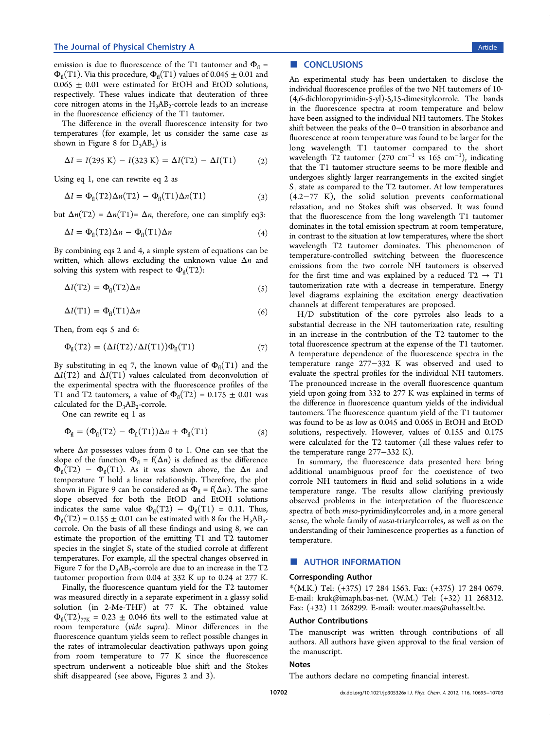<span id="page-7-0"></span>emission is due to fluorescence of the T1 tautomer and  $\Phi_{\text{fl}} =$  $\Phi_{\text{fl}}(T1)$ . Via this procedure,  $\Phi_{\text{fl}}(T1)$  values of 0.045  $\pm$  0.01 and  $0.065 \pm 0.01$  were estimated for EtOH and EtOD solutions, respectively. These values indicate that deuteration of three core nitrogen atoms in the  $H_3AB_2$ -corrole leads to an increase in the fluorescence efficiency of the T1 tautomer.

The difference in the overall fluorescence intensity for two temperatures (for example, let us consider the same case as shown in Figure 8 for  $D_3AB_2$  is

$$
\Delta I = I(295 \text{ K}) - I(323 \text{ K}) = \Delta I(T2) - \Delta I(T1) \tag{2}
$$

Using eq 1, one can rewrite eq 2 as

$$
\Delta I = \Phi_{\text{fl}}(T2)\Delta n(T2) - \Phi_{\text{fl}}(T1)\Delta n(T1) \tag{3}
$$

but  $\Delta n(T2) = \Delta n(T1) = \Delta n$ , therefore, one can simplify eq3:

$$
\Delta I = \Phi_{\text{fl}}(T2)\Delta n - \Phi_{\text{fl}}(T1)\Delta n \tag{4}
$$

By combining eqs 2 and 4, a simple system of equations can be written, which allows excluding the unknown value  $\Delta n$  and solving this system with respect to  $\Phi_{\text{fl}}(T2)$ :

$$
\Delta I(T2) = \Phi_{\text{fl}}(T2)\Delta n \tag{5}
$$

$$
\Delta I(T1) = \Phi_{\text{fl}}(T1)\Delta n \tag{6}
$$

Then, from eqs 5 and 6:

$$
\Phi_{\text{fl}}(\text{T2}) = (\Delta I(\text{T2})/\Delta I(\text{T1}))\Phi_{\text{fl}}(\text{T1})\tag{7}
$$

By substituting in eq 7, the known value of  $\Phi_{\text{fl}}(T1)$  and the  $\Delta I(T2)$  and  $\Delta I(T1)$  values calculated from deconvolution of the experimental spectra with the fluorescence profiles of the T1 and T2 tautomers, a value of  $\Phi_{\text{fl}}(T2) = 0.175 \pm 0.01$  was calculated for the  $D_3AB_2$ -corrole.

One can rewrite eq 1 as

$$
\Phi_{\text{fl}} = (\Phi_{\text{fl}}(T2) - \Phi_{\text{fl}}(T1))\Delta n + \Phi_{\text{fl}}(T1) \tag{8}
$$

where  $\Delta n$  possesses values from 0 to 1. One can see that the slope of the function  $\Phi_{\text{fl}} = f(\Delta n)$  is defined as the difference  $\Phi_{\text{fl}}(T2) - \Phi_{\text{fl}}(T1)$ . As it was shown above, the  $\Delta n$  and temperature T hold a linear relationship. Therefore, the plot shown in Figure 9 can be considered as  $\Phi_{\text{fl}} = f(\Delta n)$ . The same slope observed for both the EtOD and EtOH solutions indicates the sa[m](#page-6-0)e value  $\Phi_{\text{fl}}(T2) - \Phi_{\text{fl}}(T1) = 0.11$ . Thus,  $\Phi_{\text{fl}}(T2) = 0.155 \pm 0.01$  can be estimated with 8 for the H<sub>3</sub>AB<sub>2</sub>corrole. On the basis of all these findings and using 8, we can estimate the proportion of the emitting T1 and T2 tautomer species in the singlet  $S_1$  state of the studied corrole at different temperatures. For example, all the spectral changes observed in Figure 7 for the  $D_3AB_2$ -corrole are due to an increase in the T2 tautomer proportion from 0.04 at 332 K up to 0.24 at 277 K.

Fina[lly](#page-5-0), the fluorescence quantum yield for the T2 tautomer was measured directly in a separate experiment in a glassy solid solution (in 2-Me-THF) at 77 K. The obtained value  $\Phi_{\text{fl}}(\text{T2})_{77\text{K}}$  = 0.23  $\pm$  0.046 fits well to the estimated value at room temperature (vide supra). Minor differences in the fluorescence quantum yields seem to reflect possible changes in the rates of intramolecular deactivation pathways upon going from room temperature to 77 K since the fluorescence spectrum underwent a noticeable blue shift and the Stokes shift disappeared (see above, Figures 2 and 3).

# ■ CONCLUSIONS

An experimental study has been undertaken to disclose the individual fluorescence profiles of the two NH tautomers of 10- (4,6-dichloropyrimidin-5-yl)-5,15-dimesitylcorrole. The bands in the fluorescence spectra at room temperature and below have been assigned to the individual NH tautomers. The Stokes shift between the peaks of the 0−0 transition in absorbance and fluorescence at room temperature was found to be larger for the long wavelength T1 tautomer compared to the short wavelength T2 tautomer (270 cm<sup>-1</sup> vs 165 cm<sup>-1</sup>), indicating that the T1 tautomer structure seems to be more flexible and undergoes slightly larger rearrangements in the excited singlet  $S_1$  state as compared to the T2 tautomer. At low temperatures (4.2−77 K), the solid solution prevents conformational relaxation, and no Stokes shift was observed. It was found that the fluorescence from the long wavelength T1 tautomer dominates in the total emission spectrum at room temperature, in contrast to the situation at low temperatures, where the short wavelength T2 tautomer dominates. This phenomenon of temperature-controlled switching between the fluorescence emissions from the two corrole NH tautomers is observed for the first time and was explained by a reduced  $T2 \rightarrow T1$ tautomerization rate with a decrease in temperature. Energy level diagrams explaining the excitation energy deactivation channels at different temperatures are proposed.

H/D substitution of the core pyrroles also leads to a substantial decrease in the NH tautomerization rate, resulting in an increase in the contribution of the T2 tautomer to the total fluorescence spectrum at the expense of the T1 tautomer. A temperature dependence of the fluorescence spectra in the temperature range 277−332 K was observed and used to evaluate the spectral profiles for the individual NH tautomers. The pronounced increase in the overall fluorescence quantum yield upon going from 332 to 277 K was explained in terms of the difference in fluorescence quantum yields of the individual tautomers. The fluorescence quantum yield of the T1 tautomer was found to be as low as 0.045 and 0.065 in EtOH and EtOD solutions, respectively. However, values of 0.155 and 0.175 were calculated for the T2 tautomer (all these values refer to the temperature range 277−332 K).

In summary, the fluorescence data presented here bring additional unambiguous proof for the coexistence of two corrole NH tautomers in fluid and solid solutions in a wide temperature range. The results allow clarifying previously observed problems in the interpretation of the fluorescence spectra of both meso-pyrimidinylcorroles and, in a more general sense, the whole family of meso-triarylcorroles, as well as on the understanding of their luminescence properties as a function of temperature.

## ■ AUTHOR INFORMATION

#### Corresponding Author

\*(M.K.) Tel: (+375) 17 284 1563. Fax: (+375) 17 284 0679. E-mail: kruk@imaph.bas-net. (W.M.) Tel: (+32) 11 268312. Fax: (+32) 11 268299. E-mail: wouter.maes@uhasselt.be.

#### Author [Contributions](mailto:kruk@imaph.bas-net)

The manuscript was written [through contributions o](mailto:wouter.maes@uhasselt.be)f all authors. All authors have given approval to the final version of the manuscript.

## Notes

The authors declare no competing financial interest.